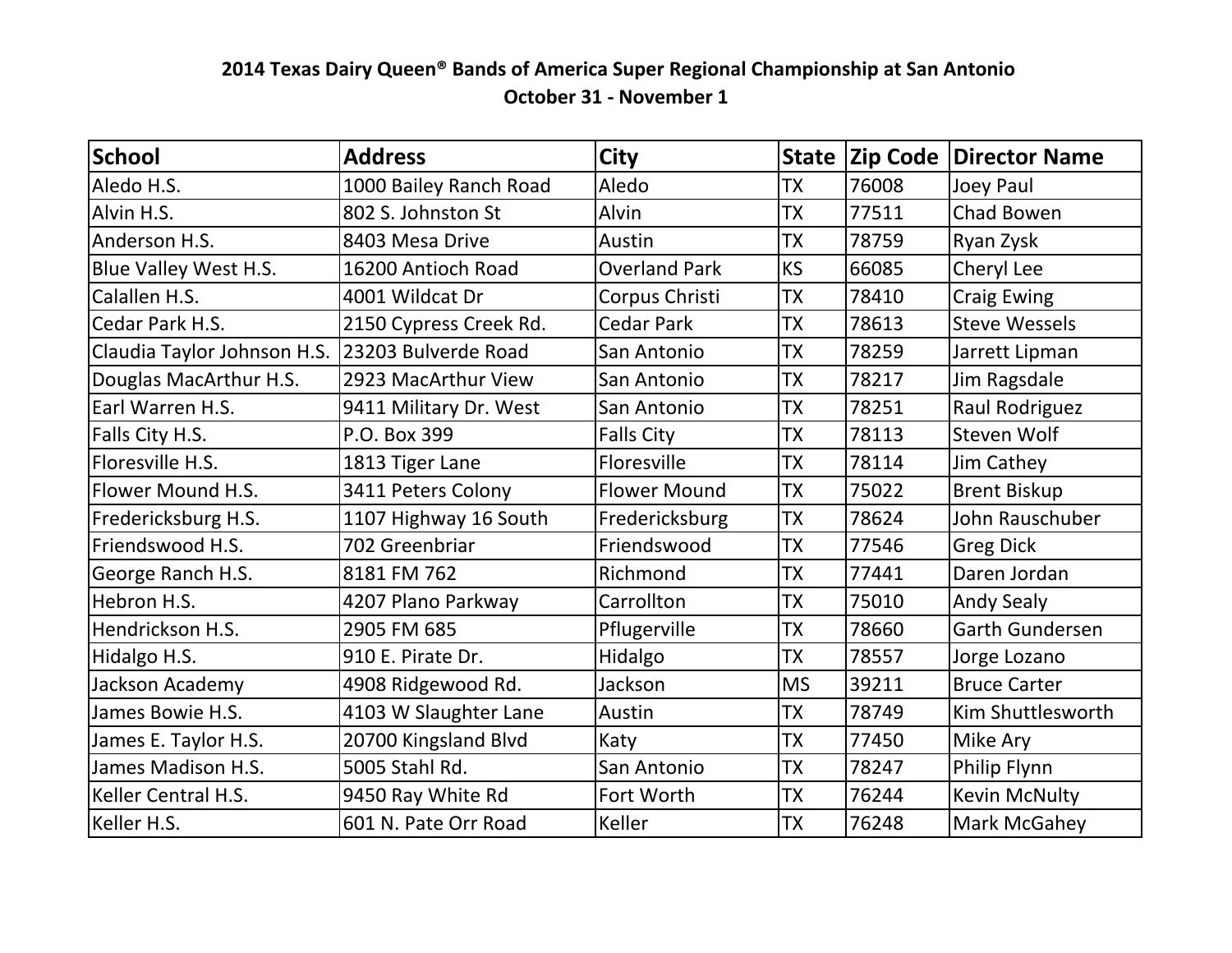## **2014 Texas Dairy Queen<sup>®</sup> Bands of America Super Regional Championship at San Antonio October 31 - November 1**

| <b>School</b>                                   | <b>Address</b>         | <b>City</b>          |           |       | <b>State Zip Code Director Name</b> |
|-------------------------------------------------|------------------------|----------------------|-----------|-------|-------------------------------------|
| Aledo H.S.                                      | 1000 Bailey Ranch Road | Aledo                | <b>TX</b> | 76008 | Joey Paul                           |
| Alvin H.S.                                      | 802 S. Johnston St     | Alvin                | <b>TX</b> | 77511 | Chad Bowen                          |
| Anderson H.S.                                   | 8403 Mesa Drive        | Austin               | TX        | 78759 | Ryan Zysk                           |
| Blue Valley West H.S.                           | 16200 Antioch Road     | <b>Overland Park</b> | <b>KS</b> | 66085 | Cheryl Lee                          |
| Calallen H.S.                                   | 4001 Wildcat Dr        | Corpus Christi       | TX        | 78410 | <b>Craig Ewing</b>                  |
| Cedar Park H.S.                                 | 2150 Cypress Creek Rd. | <b>Cedar Park</b>    | <b>TX</b> | 78613 | <b>Steve Wessels</b>                |
| Claudia Taylor Johnson H.S. 23203 Bulverde Road |                        | San Antonio          | TX        | 78259 | Jarrett Lipman                      |
| Douglas MacArthur H.S.                          | 2923 MacArthur View    | San Antonio          | TX        | 78217 | Jim Ragsdale                        |
| Earl Warren H.S.                                | 9411 Military Dr. West | San Antonio          | TX        | 78251 | Raul Rodriguez                      |
| Falls City H.S.                                 | P.O. Box 399           | <b>Falls City</b>    | <b>TX</b> | 78113 | Steven Wolf                         |
| Floresville H.S.                                | 1813 Tiger Lane        | Floresville          | TX        | 78114 | Jim Cathey                          |
| Flower Mound H.S.                               | 3411 Peters Colony     | <b>Flower Mound</b>  | <b>TX</b> | 75022 | <b>Brent Biskup</b>                 |
| Fredericksburg H.S.                             | 1107 Highway 16 South  | Fredericksburg       | TX        | 78624 | John Rauschuber                     |
| Friendswood H.S.                                | 702 Greenbriar         | Friendswood          | TX        | 77546 | <b>Greg Dick</b>                    |
| George Ranch H.S.                               | 8181 FM 762            | Richmond             | TX        | 77441 | Daren Jordan                        |
| Hebron H.S.                                     | 4207 Plano Parkway     | Carrollton           | TX        | 75010 | <b>Andy Sealy</b>                   |
| Hendrickson H.S.                                | 2905 FM 685            | Pflugerville         | <b>TX</b> | 78660 | <b>Garth Gundersen</b>              |
| Hidalgo H.S.                                    | 910 E. Pirate Dr.      | Hidalgo              | <b>TX</b> | 78557 | Jorge Lozano                        |
| Jackson Academy                                 | 4908 Ridgewood Rd.     | Jackson              | <b>MS</b> | 39211 | <b>Bruce Carter</b>                 |
| James Bowie H.S.                                | 4103 W Slaughter Lane  | Austin               | <b>TX</b> | 78749 | Kim Shuttlesworth                   |
| James E. Taylor H.S.                            | 20700 Kingsland Blvd   | Katy                 | <b>TX</b> | 77450 | Mike Ary                            |
| James Madison H.S.                              | 5005 Stahl Rd.         | San Antonio          | <b>TX</b> | 78247 | Philip Flynn                        |
| Keller Central H.S.                             | 9450 Ray White Rd      | Fort Worth           | <b>TX</b> | 76244 | Kevin McNulty                       |
| Keller H.S.                                     | 601 N. Pate Orr Road   | Keller               | <b>TX</b> | 76248 | <b>Mark McGahey</b>                 |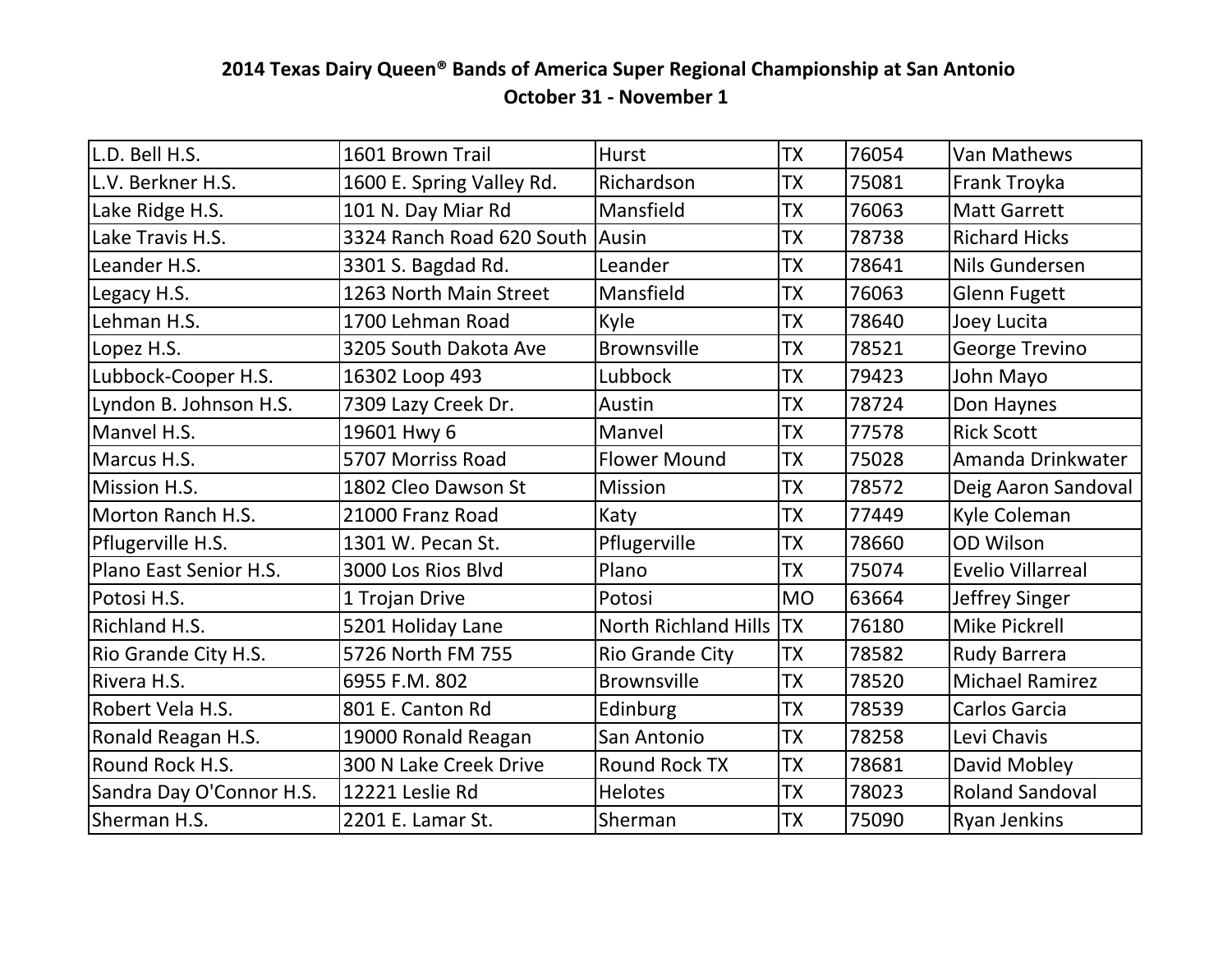## **2014 Texas Dairy Queen<sup>®</sup> Bands of America Super Regional Championship at San Antonio October 31 - November 1**

| lL.D. Bell H.S.          | 1601 Brown Trail                | <b>Hurst</b>           | <b>TX</b> | 76054 | Van Mathews              |
|--------------------------|---------------------------------|------------------------|-----------|-------|--------------------------|
| L.V. Berkner H.S.        | 1600 E. Spring Valley Rd.       | Richardson             | <b>TX</b> | 75081 | Frank Troyka             |
| Lake Ridge H.S.          | 101 N. Day Miar Rd              | Mansfield              | <b>TX</b> | 76063 | <b>Matt Garrett</b>      |
| Lake Travis H.S.         | 3324 Ranch Road 620 South Ausin |                        | <b>TX</b> | 78738 | <b>Richard Hicks</b>     |
| Leander H.S.             | 3301 S. Bagdad Rd.              | Leander                | <b>TX</b> | 78641 | Nils Gundersen           |
| Legacy H.S.              | 1263 North Main Street          | Mansfield              | <b>TX</b> | 76063 | <b>Glenn Fugett</b>      |
| Lehman H.S.              | 1700 Lehman Road                | Kyle                   | <b>TX</b> | 78640 | Joey Lucita              |
| Lopez H.S.               | 3205 South Dakota Ave           | Brownsville            | <b>TX</b> | 78521 | George Trevino           |
| Lubbock-Cooper H.S.      | 16302 Loop 493                  | Lubbock                | <b>TX</b> | 79423 | John Mayo                |
| Lyndon B. Johnson H.S.   | 7309 Lazy Creek Dr.             | Austin                 | <b>TX</b> | 78724 | Don Haynes               |
| Manyel H.S.              | 19601 Hwy 6                     | Manvel                 | <b>TX</b> | 77578 | <b>Rick Scott</b>        |
| Marcus H.S.              | 5707 Morriss Road               | <b>Flower Mound</b>    | <b>TX</b> | 75028 | Amanda Drinkwater        |
| Mission H.S.             | 1802 Cleo Dawson St             | <b>Mission</b>         | <b>TX</b> | 78572 | Deig Aaron Sandoval      |
| Morton Ranch H.S.        | 21000 Franz Road                | Katy                   | <b>TX</b> | 77449 | Kyle Coleman             |
| Pflugerville H.S.        | 1301 W. Pecan St.               | Pflugerville           | <b>TX</b> | 78660 | OD Wilson                |
| Plano East Senior H.S.   | 3000 Los Rios Blvd              | Plano                  | <b>TX</b> | 75074 | <b>Evelio Villarreal</b> |
| Potosi H.S.              | 1 Trojan Drive                  | Potosi                 | <b>MO</b> | 63664 | Jeffrey Singer           |
| Richland H.S.            | 5201 Holiday Lane               | North Richland Hills   | TX        | 76180 | Mike Pickrell            |
| Rio Grande City H.S.     | 5726 North FM 755               | <b>Rio Grande City</b> | <b>TX</b> | 78582 | <b>Rudy Barrera</b>      |
| Rivera H.S.              | 6955 F.M. 802                   | <b>Brownsville</b>     | <b>TX</b> | 78520 | <b>Michael Ramirez</b>   |
| Robert Vela H.S.         | 801 E. Canton Rd                | Edinburg               | <b>TX</b> | 78539 | Carlos Garcia            |
| Ronald Reagan H.S.       | 19000 Ronald Reagan             | San Antonio            | <b>TX</b> | 78258 | Levi Chavis              |
| Round Rock H.S.          | 300 N Lake Creek Drive          | <b>Round Rock TX</b>   | <b>TX</b> | 78681 | David Mobley             |
| Sandra Day O'Connor H.S. | 12221 Leslie Rd                 | <b>Helotes</b>         | <b>TX</b> | 78023 | <b>Roland Sandoval</b>   |
| Sherman H.S.             | 2201 E. Lamar St.               | Sherman                | TX        | 75090 | <b>Ryan Jenkins</b>      |